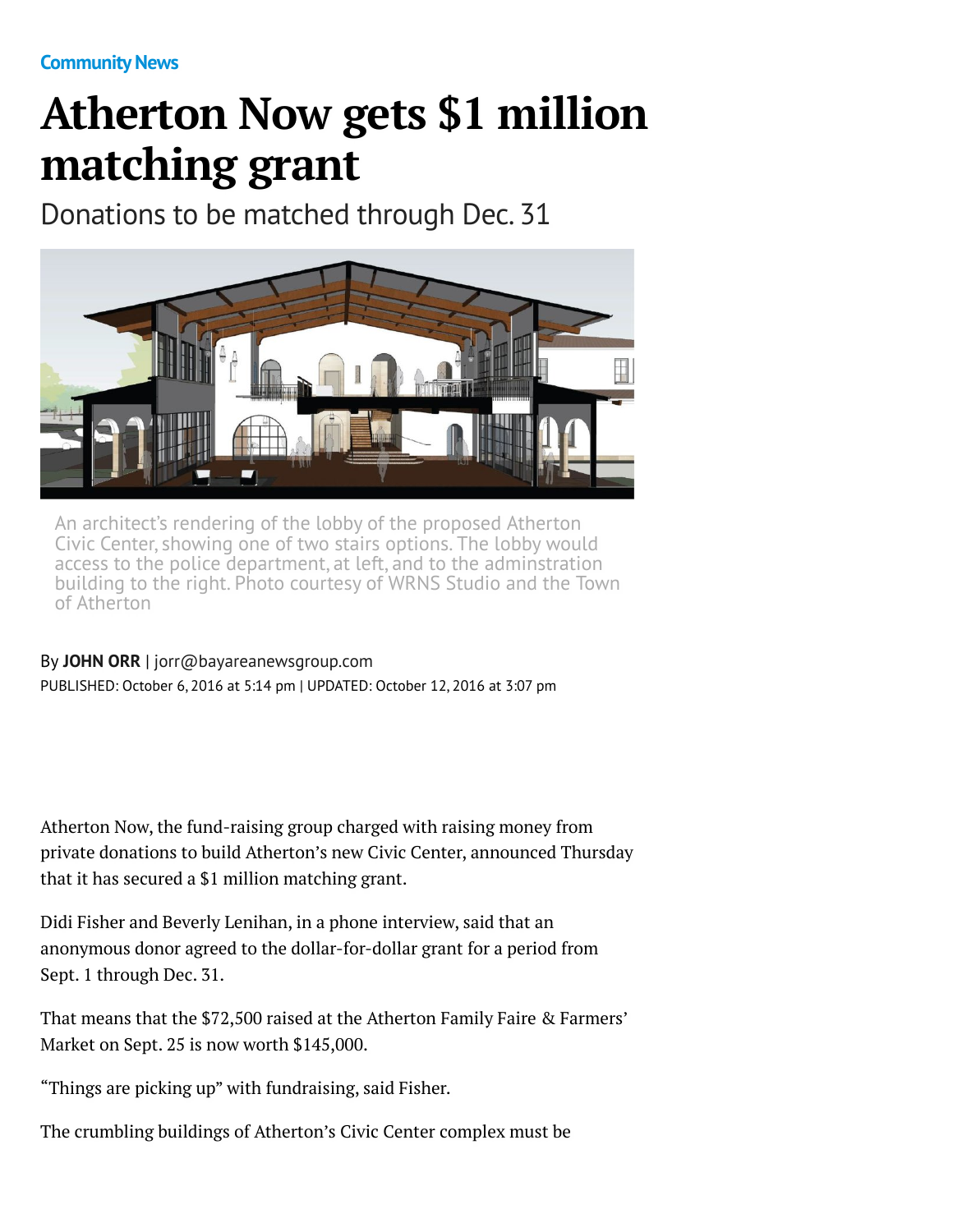## **Atherton Now gets \$1 million matching grant**

Donations to be matched through Dec. 31



An architect's rendering of the lobby of the proposed Atherton Civic Center, showing one of two stairs options. The lobby would access to the police department, at left, and to the adminstration building to the right. Photo courtesy of WRNS Studio and the Town of Atherton

## By **[JOHN ORR](http://www.mercurynews.com/author/john-orr/)** | [jorr@bayareanewsgroup.com](mailto:jorr@bayareanewsgroup.com)

PUBLISHED: October 6, 2016 at 5:14 pm | UPDATED: October 12, 2016 at 3:07 pm

Atherton Now, the fund-raising group charged with raising money from private donations to build Atherton's new Civic Center, announced Thursday that it has secured a \$1 million matching grant.

Didi Fisher and Beverly Lenihan, in a phone interview, said that an anonymous donor agreed to the dollar-for-dollar grant for a period from Sept. 1 through Dec. 31.

That means that the \$72,500 raised at the Atherton Family Faire & Farmers' Market on Sept. 25 is now worth \$145,000.

"Things are picking up" with fundraising, said Fisher.

The crumbling buildings of Atherton's Civic Center complex must be